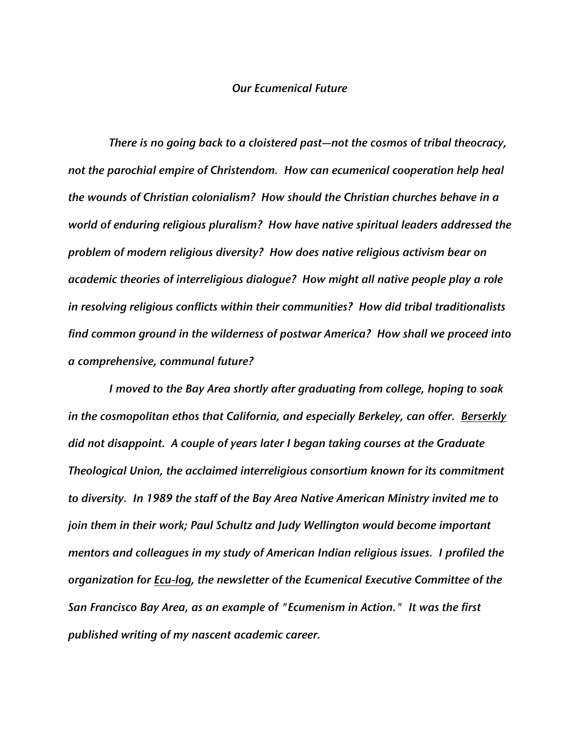## *Our Ecumenical Future*

*There is no going back to a cloistered past—not the cosmos of tribal theocracy, not the parochial empire of Christendom. How can ecumenical cooperation help heal the wounds of Christian colonialism? How should the Christian churches behave in a world of enduring religious pluralism? How have native spiritual leaders addressed the problem of modern religious diversity? How does native religious activism bear on academic theories of interreligious dialogue? How might all native people play a role in resolving religious conflicts within their communities? How did tribal traditionalists find common ground in the wilderness of postwar America? How shall we proceed into a comprehensive, communal future?*

*I moved to the Bay Area shortly after graduating from college, hoping to soak in the cosmopolitan ethos that California, and especially Berkeley, can offer. Berserkly did not disappoint. A couple of years later I began taking courses at the Graduate Theological Union, the acclaimed interreligious consortium known for its commitment to diversity. In 1989 the staff of the Bay Area Native American Ministry invited me to*  join them in their work; Paul Schultz and Judy Wellington would become important *mentors and colleagues in my study of American Indian religious issues. I profiled the organization for Ecu-log, the newsletter of the Ecumenical Executive Committee of the San Francisco Bay Area, as an example of "Ecumenism in Action." It was the first published writing of my nascent academic career.*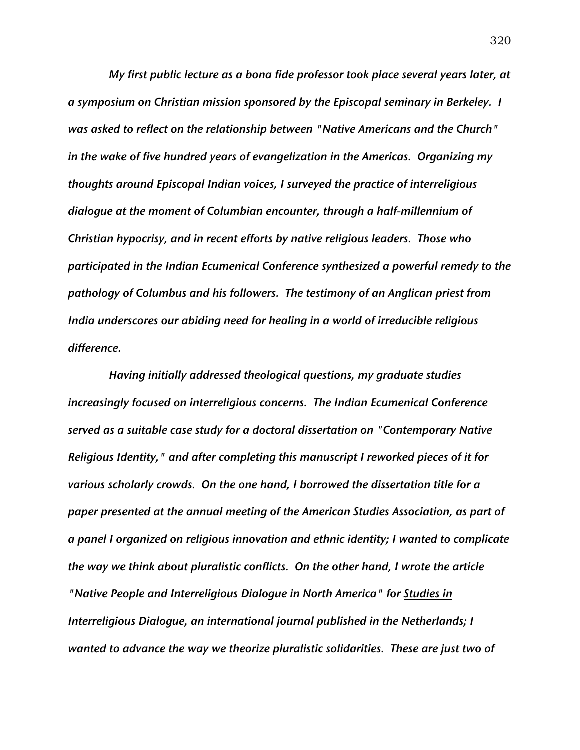*My first public lecture as a bona fide professor took place several years later, at a symposium on Christian mission sponsored by the Episcopal seminary in Berkeley. I was asked to reflect on the relationship between "Native Americans and the Church" in the wake of five hundred years of evangelization in the Americas. Organizing my thoughts around Episcopal Indian voices, I surveyed the practice of interreligious dialogue at the moment of Columbian encounter, through a half-millennium of Christian hypocrisy, and in recent efforts by native religious leaders. Those who participated in the Indian Ecumenical Conference synthesized a powerful remedy to the pathology of Columbus and his followers. The testimony of an Anglican priest from India underscores our abiding need for healing in a world of irreducible religious difference.*

*Having initially addressed theological questions, my graduate studies increasingly focused on interreligious concerns. The Indian Ecumenical Conference served as a suitable case study for a doctoral dissertation on "Contemporary Native Religious Identity," and after completing this manuscript I reworked pieces of it for various scholarly crowds. On the one hand, I borrowed the dissertation title for a paper presented at the annual meeting of the American Studies Association, as part of a panel I organized on religious innovation and ethnic identity; I wanted to complicate the way we think about pluralistic conflicts. On the other hand, I wrote the article "Native People and Interreligious Dialogue in North America" for Studies in Interreligious Dialogue, an international journal published in the Netherlands; I wanted to advance the way we theorize pluralistic solidarities. These are just two of*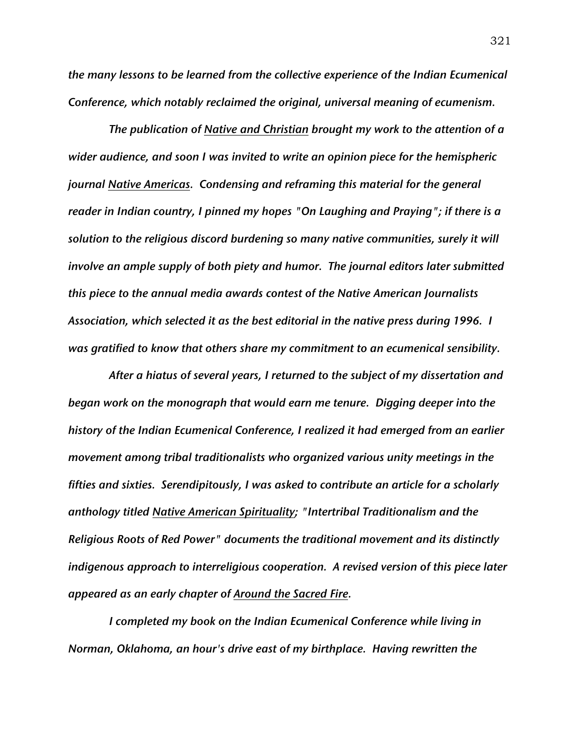*the many lessons to be learned from the collective experience of the Indian Ecumenical Conference, which notably reclaimed the original, universal meaning of ecumenism.*

*The publication of Native and Christian brought my work to the attention of a wider audience, and soon I was invited to write an opinion piece for the hemispheric journal Native Americas. Condensing and reframing this material for the general reader in Indian country, I pinned my hopes "On Laughing and Praying"; if there is a solution to the religious discord burdening so many native communities, surely it will involve an ample supply of both piety and humor. The journal editors later submitted this piece to the annual media awards contest of the Native American Journalists Association, which selected it as the best editorial in the native press during 1996. I was gratified to know that others share my commitment to an ecumenical sensibility.*

*After a hiatus of several years, I returned to the subject of my dissertation and began work on the monograph that would earn me tenure. Digging deeper into the history of the Indian Ecumenical Conference, I realized it had emerged from an earlier movement among tribal traditionalists who organized various unity meetings in the fifties and sixties. Serendipitously, I was asked to contribute an article for a scholarly anthology titled Native American Spirituality; "Intertribal Traditionalism and the Religious Roots of Red Power" documents the traditional movement and its distinctly indigenous approach to interreligious cooperation. A revised version of this piece later appeared as an early chapter of Around the Sacred Fire.*

*I completed my book on the Indian Ecumenical Conference while living in Norman, Oklahoma, an hour's drive east of my birthplace. Having rewritten the*